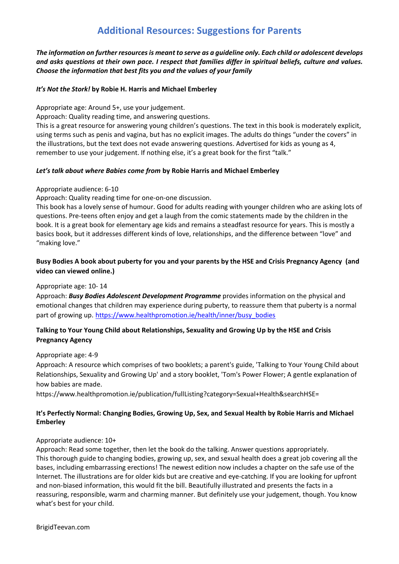# **Additional Resources: Suggestions for Parents**

*The information on further resourcesis meant to serve as a guideline only. Each child or adolescent develops and asks questions at their own pace. I respect that families differ in spiritual beliefs, culture and values. Choose the information that best fits you and the values of your family*

## *It's Not the [Stork!](http://www.amazon.com/gp/product/0763633313/ref=as_li_ss_tl?ie=UTF8&camp=1789&creative=390957&creativeASIN=0763633313&linkCode=as2&tag=terminaintell-20)* **by Robie H. Harris and Michael Emberley**

Appropriate age: Around 5+, use your judgement.

Approach: Quality reading time, and answering questions.

This is a great resource for answering young children's questions. The text in this book is moderately explicit, using terms such as penis and vagina, but has no explicit images. The adults do things "under the covers" in the illustrations, but the text does not evade answering questions. Advertised for kids as young as 4, remember to use your judgement. If nothing else, it's a great book for the first "talk."

## *Let's talk about where Babies come from* **by Robie Harris and Michael Emberley**

## Appropriate audience: 6-10

Approach: Quality reading time for one-on-one discussion.

This book has a lovely sense of humour. Good for adults reading with younger children who are asking lots of questions. Pre-teens often enjoy and get a laugh from the comic statements made by the children in the book. It is a great book for elementary age kids and remains a steadfast resource for years. This is mostly a basics book, but it addresses different kinds of love, relationships, and the difference between "love" and "making love."

# **Busy Bodies A book about puberty for you and your parents by the HSE and Crisis Pregnancy Agency (and video can viewed online.)**

## Appropriate age: 10- 14

Approach: *Busy Bodies Adolescent Development Programme* provides information on the physical and emotional changes that children may experience during puberty, to reassure them that puberty is a normal part of growing up. [https://www.healthpromotion.ie/health/inner/busy\\_bodies](https://www.healthpromotion.ie/health/inner/busy_bodies)

# **Talking to Your Young Child about Relationships, Sexuality and Growing Up by the HSE and Crisis Pregnancy Agency**

## Appropriate age: 4-9

Approach: A resource which comprises of two booklets; a parent's guide, 'Talking to Your Young Child about Relationships, Sexuality and Growing Up' and a story booklet, 'Tom's Power Flower; A gentle explanation of how babies are made.

https://www.healthpromotion.ie/publication/fullListing?category=Sexual+Health&searchHSE=

# **It's Perfectly Normal: [Changing](http://www.amazon.com/gp/product/0763644846/ref=as_li_ss_tl?ie=UTF8&camp=1789&creative=390957&creativeASIN=0763644846&linkCode=as2&tag=terminaintell-20) Bodies, Growing Up, Sex, and Sexual Health by Robie Harris and Michael Emberley**

# Appropriate audience: 10+

Approach: Read some together, then let the book do the talking. Answer questions appropriately. This thorough guide to changing bodies, growing up, sex, and sexual health does a great job covering all the bases, including embarrassing erections! The newest edition now includes a chapter on the safe use of the Internet. The illustrations are for older kids but are creative and eye-catching. If you are looking for upfront and non-biased information, this would fit the bill. Beautifully illustrated and presents the facts in a reassuring, responsible, warm and charming manner. But definitely use your judgement, though. You know what's best for your child.